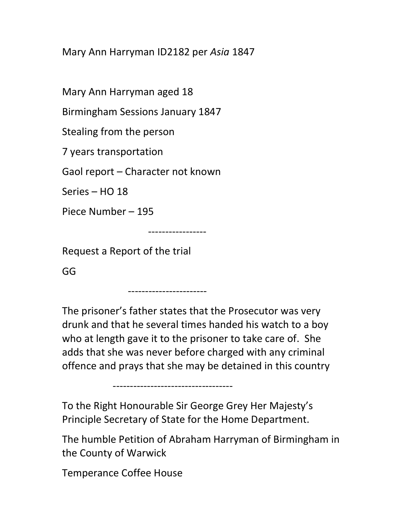Mary Ann Harryman ID2182 per Asia 1847

Mary Ann Harryman aged 18

Birmingham Sessions January 1847

Stealing from the person

7 years transportation

Gaol report – Character not known

Series – HO 18

Piece Number – 195

-----------------

-----------------------

Request a Report of the trial

GG

The prisoner's father states that the Prosecutor was very drunk and that he several times handed his watch to a boy who at length gave it to the prisoner to take care of. She adds that she was never before charged with any criminal offence and prays that she may be detained in this country

-----------------------------------

To the Right Honourable Sir George Grey Her Majesty's Principle Secretary of State for the Home Department.

The humble Petition of Abraham Harryman of Birmingham in the County of Warwick

Temperance Coffee House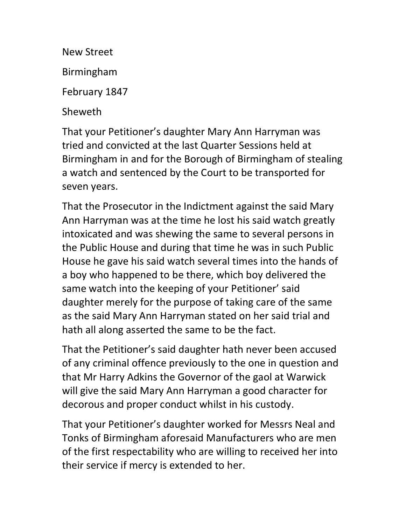New Street

Birmingham

February 1847

Sheweth

That your Petitioner's daughter Mary Ann Harryman was tried and convicted at the last Quarter Sessions held at Birmingham in and for the Borough of Birmingham of stealing a watch and sentenced by the Court to be transported for seven years.

That the Prosecutor in the Indictment against the said Mary Ann Harryman was at the time he lost his said watch greatly intoxicated and was shewing the same to several persons in the Public House and during that time he was in such Public House he gave his said watch several times into the hands of a boy who happened to be there, which boy delivered the same watch into the keeping of your Petitioner' said daughter merely for the purpose of taking care of the same as the said Mary Ann Harryman stated on her said trial and hath all along asserted the same to be the fact.

That the Petitioner's said daughter hath never been accused of any criminal offence previously to the one in question and that Mr Harry Adkins the Governor of the gaol at Warwick will give the said Mary Ann Harryman a good character for decorous and proper conduct whilst in his custody.

That your Petitioner's daughter worked for Messrs Neal and Tonks of Birmingham aforesaid Manufacturers who are men of the first respectability who are willing to received her into their service if mercy is extended to her.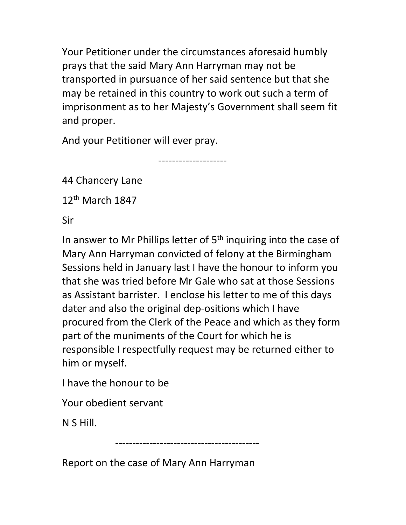Your Petitioner under the circumstances aforesaid humbly prays that the said Mary Ann Harryman may not be transported in pursuance of her said sentence but that she may be retained in this country to work out such a term of imprisonment as to her Majesty's Government shall seem fit and proper.

And your Petitioner will ever pray.

--------------------

44 Chancery Lane

12<sup>th</sup> March 1847

Sir

In answer to Mr Phillips letter of  $5<sup>th</sup>$  inquiring into the case of Mary Ann Harryman convicted of felony at the Birmingham Sessions held in January last I have the honour to inform you that she was tried before Mr Gale who sat at those Sessions as Assistant barrister. I enclose his letter to me of this days dater and also the original dep-ositions which I have procured from the Clerk of the Peace and which as they form part of the muniments of the Court for which he is responsible I respectfully request may be returned either to him or myself.

I have the honour to be

Your obedient servant

N S Hill.

------------------------------------------

Report on the case of Mary Ann Harryman